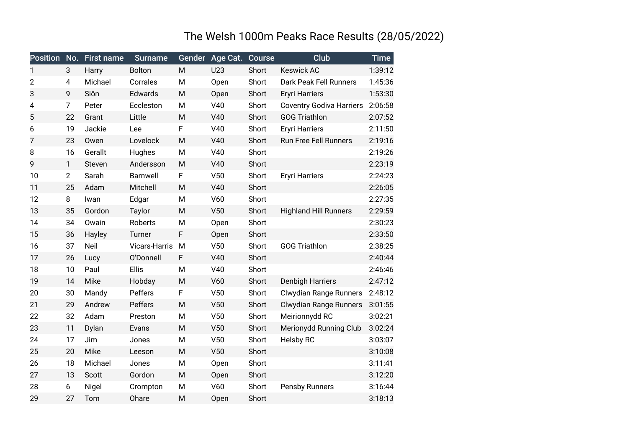## The Welsh 1000m Peaks Race Results (28/05/2022)

| <b>Position</b> | No.            | <b>First name</b> | <b>Surname</b>       | Gender | Age Cat.        | Course | <b>Club</b>                     | <b>Time</b> |
|-----------------|----------------|-------------------|----------------------|--------|-----------------|--------|---------------------------------|-------------|
| 1               | 3              | Harry             | Bolton               | M      | U23             | Short  | <b>Keswick AC</b>               | 1:39:12     |
| $\overline{2}$  | 4              | Michael           | Corrales             | M      | Open            | Short  | Dark Peak Fell Runners          | 1:45:36     |
| 3               | 9              | Siôn              | Edwards              | M      | Open            | Short  | <b>Eryri Harriers</b>           | 1:53:30     |
| 4               | $\overline{7}$ | Peter             | Eccleston            | M      | V40             | Short  | <b>Coventry Godiva Harriers</b> | 2:06:58     |
| 5               | 22             | Grant             | Little               | M      | V40             | Short  | <b>GOG Triathlon</b>            | 2:07:52     |
| 6               | 19             | Jackie            | Lee                  | F      | V40             | Short  | Eryri Harriers                  | 2:11:50     |
| 7               | 23             | Owen              | Lovelock             | M      | V40             | Short  | <b>Run Free Fell Runners</b>    | 2:19:16     |
| 8               | 16             | Gerallt           | Hughes               | M      | V40             | Short  |                                 | 2:19:26     |
| 9               | $\mathbf{1}$   | Steven            | Andersson            | M      | V40             | Short  |                                 | 2:23:19     |
| 10              | $\overline{2}$ | Sarah             | Barnwell             | F      | V50             | Short  | <b>Eryri Harriers</b>           | 2:24:23     |
| 11              | 25             | Adam              | Mitchell             | M      | V40             | Short  |                                 | 2:26:05     |
| 12              | 8              | Iwan              | Edgar                | M      | V60             | Short  |                                 | 2:27:35     |
| 13              | 35             | Gordon            | Taylor               | M      | V50             | Short  | <b>Highland Hill Runners</b>    | 2:29:59     |
| 14              | 34             | Owain             | Roberts              | M      | Open            | Short  |                                 | 2:30:23     |
| 15              | 36             | Hayley            | Turner               | F      | Open            | Short  |                                 | 2:33:50     |
| 16              | 37             | Neil              | <b>Vicars-Harris</b> | M      | V50             | Short  | <b>GOG Triathlon</b>            | 2:38:25     |
| 17              | 26             | Lucy              | O'Donnell            | F      | V40             | Short  |                                 | 2:40:44     |
| 18              | 10             | Paul              | Ellis                | M      | V40             | Short  |                                 | 2:46:46     |
| 19              | 14             | Mike              | Hobday               | M      | V60             | Short  | <b>Denbigh Harriers</b>         | 2:47:12     |
| 20              | 30             | Mandy             | Peffers              | F      | V50             | Short  | <b>Clwydian Range Runners</b>   | 2:48:12     |
| 21              | 29             | Andrew            | Peffers              | M      | V50             | Short  | <b>Clwydian Range Runners</b>   | 3:01:55     |
| 22              | 32             | Adam              | Preston              | M      | V50             | Short  | Meirionnydd RC                  | 3:02:21     |
| 23              | 11             | Dylan             | Evans                | M      | V <sub>50</sub> | Short  | Merionydd Running Club          | 3:02:24     |
| 24              | 17             | Jim               | Jones                | M      | V50             | Short  | <b>Helsby RC</b>                | 3:03:07     |
| 25              | 20             | Mike              | Leeson               | M      | V <sub>50</sub> | Short  |                                 | 3:10:08     |
| 26              | 18             | Michael           | Jones                | M      | Open            | Short  |                                 | 3:11:41     |
| 27              | 13             | Scott             | Gordon               | M      | Open            | Short  |                                 | 3:12:20     |
| 28              | 6              | Nigel             | Crompton             | M      | V60             | Short  | Pensby Runners                  | 3:16:44     |
| 29              | 27             | Tom               | Ohare                | M      | Open            | Short  |                                 | 3:18:13     |